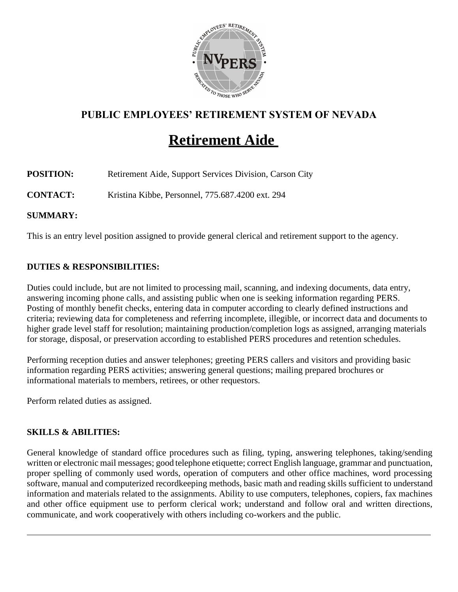

# **PUBLIC EMPLOYEES' RETIREMENT SYSTEM OF NEVADA**

# **Retirement Aide**

**POSITION:** Retirement Aide, Support Services Division, Carson City

**CONTACT:** Kristina Kibbe, Personnel, 775.687.4200 ext. 294

**SUMMARY:**

This is an entry level position assigned to provide general clerical and retirement support to the agency.

## **DUTIES & RESPONSIBILITIES:**

Duties could include, but are not limited to processing mail, scanning, and indexing documents, data entry, answering incoming phone calls, and assisting public when one is seeking information regarding PERS. Posting of monthly benefit checks, entering data in computer according to clearly defined instructions and criteria; reviewing data for completeness and referring incomplete, illegible, or incorrect data and documents to higher grade level staff for resolution; maintaining production/completion logs as assigned, arranging materials for storage, disposal, or preservation according to established PERS procedures and retention schedules.

Performing reception duties and answer telephones; greeting PERS callers and visitors and providing basic information regarding PERS activities; answering general questions; mailing prepared brochures or informational materials to members, retirees, or other requestors.

Perform related duties as assigned.

#### **SKILLS & ABILITIES:**

General knowledge of standard office procedures such as filing, typing, answering telephones, taking/sending written or electronic mail messages; good telephone etiquette; correct English language, grammar and punctuation, proper spelling of commonly used words, operation of computers and other office machines, word processing software, manual and computerized recordkeeping methods, basic math and reading skills sufficient to understand information and materials related to the assignments. Ability to use computers, telephones, copiers, fax machines and other office equipment use to perform clerical work; understand and follow oral and written directions, communicate, and work cooperatively with others including co-workers and the public.